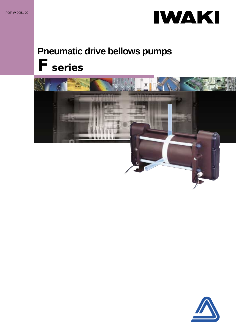

# **Pneumatic drive bellows pumps F series**



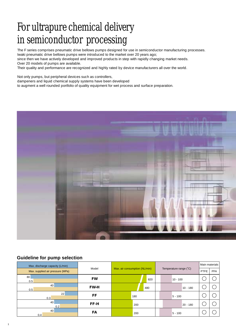# For ultrapure chemical delivery in semiconductor processing

The F series comprises pneumatic drive bellows pumps designed for use in semiconductor manufacturing processes. Iwaki pneumatic drive bellows pumps were introduced to the market over 20 years ago; since then we have actively developed and improved products in step with rapidly changing market needs. Over 20 models of pumps are available.

Their quality and performance are recognized and highly rated by device manufacturers all over the world.

Not only pumps, but peripheral devices such as controllers, dampeners and liquid chemical supply systems have been developed to augment a well rounded portfolio of quality equipment for wet process and surface preparation.



#### **Guideline for pump selection**

| Max. discharge capacity (L/min)  |                                        |     |                        |  | Main materials |            |  |  |
|----------------------------------|----------------------------------------|-----|------------------------|--|----------------|------------|--|--|
| Max. supplied air pressure (MPa) | Max. air consumption (NL/min)<br>Model |     | Temperature range (°C) |  | <b>PTFE</b>    | <b>PFA</b> |  |  |
| 80<br>0.5                        | <b>FW</b>                              | 820 |                        |  | $10 - 100$     |            |  |  |
| 40<br>0.5                        | <b>FW-H</b>                            | 480 |                        |  |                | 10 - 180   |  |  |
| 22<br>0.3                        | FF                                     | 180 |                        |  | $5 - 100$      |            |  |  |
| 40<br>0.2                        | FF-H                                   | 200 |                        |  |                | 20 - 180   |  |  |
| 40<br>0.4                        | FA                                     | 200 |                        |  | $5 - 100$      |            |  |  |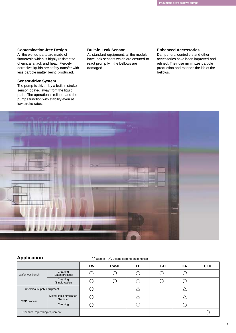#### **Contamination-free Design**

All the wetted parts are made of fluororesin which is highly resistant to chemical attack and heat. Fiercely corrosive liquids are safety transfer with less particle matter being produced.

#### **Sensor-drive System**

The pump is driven by a built in stroke sensor located away from the liquid path. The operation is reliable and the pumps function with stability even at low stroke rates.

#### **Built-in Leak Sensor**

As standard equipment, all the models have leak sensors which are ensured to react promptly if the bellows are damaged.

#### **Enhanced Accessories**

Dampeners, controllers and other accessories have been improved and refined. Their use minimizes particle production and extends the life of the bellows.



#### **Application**  $\bigcirc$  Usable  $\bigcirc$  Usable depend on condition

|                                       |                             | <b>FW</b> | <b>FW-H</b> | FF | FF-H | FA | <b>CFD</b> |
|---------------------------------------|-----------------------------|-----------|-------------|----|------|----|------------|
| Wafer wet-bench                       | Cleaning<br>(Batch process) |           |             |    |      |    |            |
|                                       | Cleaning<br>(Single wafer)  |           |             |    |      |    |            |
| Chemical supply equipment             |                             |           |             |    |      |    |            |
| Mixed-liquid circulation<br>/Transfer |                             |           |             |    |      |    |            |
| CMP process                           | Cleaning                    |           |             |    |      |    |            |
| Chemical repleshing equipment         |                             |           |             |    |      |    |            |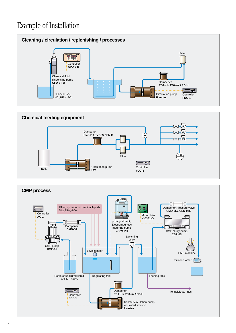### Example of Installation





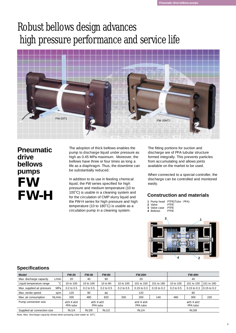## Robust bellows design advances high pressure performance and service life



### **Pneumatic drive bellows pumps FW FW-H**

The adoption of thick bellows enables the pump to discharge liquid under pressure as high as 0.45 MPa maximum. Moreover, the bellows have three or four times as long a life as a diaphragm. Thus, the downtime can be substantially reduced.

In addition to its use in feeding chemical liquid, the FW series specified for high pressure and medium temperature (10 to 100˚C) is usable in a cleaning system and for the circulation of CMP slurry liquid and the FW-H series for high pressure and high temperature (10 to 180˚C) is usable as a circulation pump in a cleaning system.

The fitting portions for suction and discharge are of PFA tubular structure formed integrally. This prevents particles from accumulating and allows joints available on the market to be used.

When connected to a special controller, the discharge can be controlled and monitored easily.

#### **Construction and materials**

1 Pump head PTFE(Tube: PFA)

- Valve Valve case PTFE PTFE **2**
- 4 Bellows PTFF **3**



#### **Specifications**

| <b>Model</b>                 |              | <b>FW-20</b>              | <b>FW-40</b>   | <b>FW-80</b>          |                | <b>FW-20H</b>       |                 |                | <b>FW-40H</b>             |                 |
|------------------------------|--------------|---------------------------|----------------|-----------------------|----------------|---------------------|-----------------|----------------|---------------------------|-----------------|
| Max. discharge capacity      | L/min        | 20                        | 40             | 80                    |                | 20                  |                 |                | 40                        |                 |
| Liquid temperature range     | $\sim$<br>ι. | 10 to 100                 | 10 to 100      | 10 to 80              | 10 to 100      | 101 to 150          | 151 to 180      | 10 to 100      | 101 to 150                | 151 to 180      |
| Max. supplied air pressure   | MPa          | $0.2$ to $0.5$            | $0.2$ to $0.5$ | $0.2$ to $0.5$        | $0.2$ to $0.5$ | $0.15$ to $0.3$     | $0.15$ to $0.2$ | $0.2$ to $0.5$ | $0.15$ to $0.3$           | $0.15$ to $0.2$ |
| Max. stroke speed            | spm          | 120                       | 80             | 80                    |                | 120                 |                 |                | 80                        |                 |
| Max. air consumption         | NL/min       | 330                       | 480            | 820                   | 330            | 200                 | 140             | 480            | 300                       | 220             |
| Pump connection size         |              | $019$ X $016$<br>PFA tube |                | ด25 X ด22<br>PFA tube |                | g19Xg16<br>PFA tube |                 |                | $025$ X $022$<br>PFA tube |                 |
| Supplied air connection size |              | Rc1/4                     | Rc3/8          | Rc1/2                 |                | Rc1/4               |                 |                | Rc3/8                     |                 |

Note: Max. discharge capacity shows when pumping clear water at 20˚C.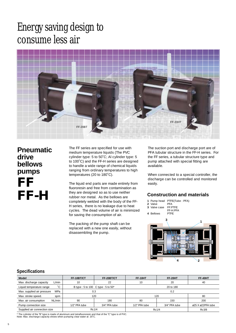### Energy saving design to consume less air



**Pneumatic drive bellows pumps FF FF-H**

The FF series are specified for use with medium temperature liquids (The PVC cylinder type: 5 to 50˚C; Al cylinder type: 5 to 100˚C) and the FF-H series are designed to handle a wide range of chemical liquids ranging from ordinary temperatures to high temperatures (20 to 180˚C).

The liquid end parts are made entirely from fluororesin and free from contamination as they are designed so as to use neither rubber nor metal. As the bellows are completely welded with the body of the FF-H series, there is no leakage due to heat cycles. The dead volume of air is minimized for saving the consumption of air.

The packing of the pump shaft can be replaced with a new one easily, without disassembling the pump.

The suction port and discharge port are of PFA tubular structure in the FF-H series. For the FF series, a tubular structure type and pump attached with special fitting are available.

When connected to a special controller, the discharge can be controlled and monitored easily.

#### **Construction and materials**



#### **Specifications**

| Model                                    | FF-10BT/CT                     | FF-20BT/CT                        | <b>FF-10HT</b>                 | <b>FF-20HT</b> | <b>FF-40HT</b>    |  |
|------------------------------------------|--------------------------------|-----------------------------------|--------------------------------|----------------|-------------------|--|
| Max. discharge capacity<br>L/min         | 10                             | 22                                | 10                             | 20             | 40                |  |
| $\sim$<br>Liquid temperature range       |                                | B type: 5 to 100 C type: 5 to 50* | 20 to 180                      |                |                   |  |
| Max. supplied air pressure<br><b>MPa</b> | 0.3                            |                                   | 0.2                            |                |                   |  |
| Max. stroke speed.<br>spm                |                                | 120                               | 12C                            | 80             |                   |  |
| NL/min<br>Max. air consumption           | 90                             | 180                               | 80                             | 150            | 200               |  |
| Pump connection size                     | 1/2" PFA tube<br>3/4" PFA tube |                                   | 3/4" PFA tube<br>1/2" PFA tube |                | ø25 X ø22PFA tube |  |
| Supplied air connection size<br>Rc1/4    |                                |                                   | Rc1/4                          | Rc3/8          |                   |  |

\* The cylinder of the "B" type is made of aluminum and tetrafluororesin and that of the "C" type is of PVC. Note: Max. discharge capacity shows when pumping clear water at 20˚C.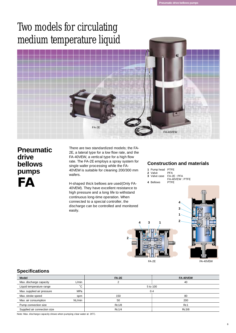### Two models for circulating medium temperature liquid



### **Pneumatic drive bellows pumps FA**

There are two standardized models; the FA-2E, a lateral type for a low flow rate, and the FA-40VEW, a vertical type for a high flow rate. The FA-2E employs a spray system for single wafer processing while the FA-40VEW is suitable for cleaning 200/300 mm wafers.

H-shaped thick bellows are used(Only FA-40VEW). They have excellent resistance to high pressure and a long life to withstand continuous long-time operation. When connected to a special controller, the discharge can be controlled and monitored easily.

#### **Construction and materials**

**1**

**3**

**4**

| 1 Pump head PTFE |  |
|------------------|--|
|------------------|--|

- Valve **2** PFA
- Valve case **3** FA-2E : PFA FA-40VEW : PTFE
- 4 Bellows PTFE





#### **Specifications**

| <b>Model</b>                 |        | $FA-2E$      | FA-40VEW     |  |  |
|------------------------------|--------|--------------|--------------|--|--|
| Max. discharge capacity      | L/min  |              | 40           |  |  |
| Liquid temperature range     | $\sim$ | 5 to 100     |              |  |  |
| Max. supplied air pressure   | MPa    | 0.4          |              |  |  |
| Max. stroke speed            | spm    | 150          | 80           |  |  |
| Max. air consumption         | NL/min | 50           | 200          |  |  |
| Pump connection size         |        | <b>Rc1/8</b> | Rc1          |  |  |
| Supplied air connection size |        | <b>Rc1/4</b> | <b>Rc3/8</b> |  |  |

Note: Max. discharge capacity shows when pumping clear water at 20˚C.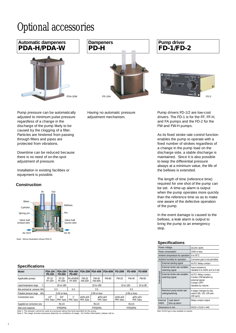# Optional accessories



Pump pressure can be automatically adjusted to minimum pulse pressure regardless of a change in the discharge of the pump likely to be caused by the clogging of a filter. Particles are hindered from passing through filters and pipes are protected from vibrations.

Downtime can be reduced because there is no need of on-the-spot adjustment of pressure.

Installation in existing facilities or equipment is possible.

#### **Construction**



Note : Above illustration shows PDA-H

#### **Specifications**

| Model                                                                                  | <b>PDA-10H</b><br><b>PD-10H</b> | PDA-20H<br><b>PD-20H</b> | <b>PDA-40H</b><br><b>PD-40H</b> | <b>PDA-20W</b>         | <b>PDA-40W</b>         | <b>PDA-80W</b> | <b>PD-20W</b>       | <b>PD-40W</b>  | <b>PD-80W</b>        |
|----------------------------------------------------------------------------------------|---------------------------------|--------------------------|---------------------------------|------------------------|------------------------|----------------|---------------------|----------------|----------------------|
| Applicable pumps                                                                       | FF-10<br>FF-10H                 | FF-20<br>FF-20H          | FA-40VFW<br>FF-40H              | FW-20<br><b>FW-20H</b> | FW-40<br><b>FW-40H</b> | FW-80          | FW-20               | FW-40          | <b>FW-80</b>         |
| Liquid temperature range                                                               |                                 | 20 to 180                |                                 | 10 to 180              |                        | 10 to 100      |                     | 10 to 80       |                      |
| Max.enclosed air pressure MPa                                                          |                                 | 0.3                      | 0.4                             | 0.5                    |                        | 0.5            |                     |                |                      |
| Pulsation pressure range<br>MPa                                                        |                                 | $0.04$ or less           |                                 |                        | $0.06$ or less         |                |                     | $0.06$ or less |                      |
| Connection size                                                                        | $1/2$ <sup>*</sup><br>PFA Tube  | 3/4"<br>PFA Tube         | 1"<br>PFA Tube                  | ø19X ø16<br>PFA Tube   | ด25X ด22<br>PFA Tube   |                | g19Xg16<br>PFA Tube |                | ด25X ด22<br>PFA Tube |
| Supplied air connection size                                                           |                                 | Rc1/4                    |                                 | Rc1/4                  |                        |                | <b>Rc1/4</b>        |                |                      |
| Wet end material                                                                       |                                 | PTFE/PFA                 |                                 | PTFE/PFA               |                        |                | PTFE/PFA            |                |                      |
| Note 1: The damper cannot be used at a pressure above the level specified for the pump |                                 |                          |                                 |                        |                        |                |                     |                |                      |

Note 1: The damper cannot be used at a pressure above the level specified for the pump. Note 2: The range of pulse pressures depends on conditions of usage. For further information, please call us.

**Dampeners PD-H**

Having no automatic pressure adjustment mechanism.

### **Pump driver FD-1/FD-2**



Pump drivers FD-1/2 are low-cost drivers. The FD-1 is for the FF, FF-H, and FA pumps and the FD-2 for the FW and FW-H pumps.

As its fixed stroke rate control function enables the pump to operate with a fixed number of strokes regardless of a change in the pump load on the discharge side, a stable discharge is maintained. Since it is also possible to keep the differential pressure always at a minimum value, the life of the bellows is extended.

The length of time (reference time) required for one shot of the pump can be set. A time-up alarm is output when the pump operates more quickly than the reference time so as to make one aware of the defective operation of the pump.

In the event damage is caused to the bellows, a leak alarm is output to bring the pump to an emergency stop.

#### **Specifications**

|                | Power voltage                                      |                                                    | DC24V ±10%                                                                                               |  |  |  |
|----------------|----------------------------------------------------|----------------------------------------------------|----------------------------------------------------------------------------------------------------------|--|--|--|
|                |                                                    | Power consumption                                  | 24VA or less                                                                                             |  |  |  |
|                |                                                    | Ambient temperature for operation                  | 0 to 55°C                                                                                                |  |  |  |
|                |                                                    | Ambient humidity for operation                     | Corrosive gas is not permited                                                                            |  |  |  |
|                |                                                    | External starting signal                           | AUTO: Relay contact                                                                                      |  |  |  |
|                | External stroke rate variable/<br>switching signal |                                                    | Input resistance:<br>Variable 0 to 100% at 0 to 5 k                                                      |  |  |  |
| External input |                                                    | External stroke rate variable/<br>switching signal | AUTO: Relay contact,<br>Contact ON/Variable by<br>external signal,<br>Contact OFF/<br>Variable by volume |  |  |  |
|                | Maximum pump stroke rate<br>setting/switching      |                                                    | 4-stage changes by dip<br>switch (80, 120, 150 and<br>200 spm)                                           |  |  |  |
|                | External<br>Leak alarm/<br>output<br>time-up alarm |                                                    | Relay contact output                                                                                     |  |  |  |
|                |                                                    | Dimensions in mm                                   | W120 x D120 x H40                                                                                        |  |  |  |
|                | Noto: DC2AV tuno is also available on request      |                                                    |                                                                                                          |  |  |  |

Note: DC24V type is also available on request.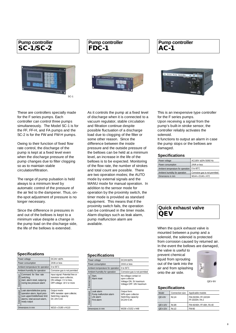#### **Pump controller SC-1/SC-2**



#### **Pump controller FDC-1**



**Pump controller AC-1**



These are controllers specially made for the F series pumps. Each controller can control three pumps simultaneously. The Model SC-1 is for the FF, FF-H, and FA pumps and the SC-2 is for the FW and FW-H pumps.

Owing to their function of fixed flow rate control, the discharge of the pump is kept at a fixed level even when the discharge pressure of the pump changes due to filter clogging so as to maintain stable circulation/filtration.

The range of pump pulsation is held always to a minimum level by automatic control of the pressure of the air fed to the dampener. Thus, onthe-spot adjustment of pressure is no longer necessary.

Since the difference in pressures in and out of the bellows is kept to a minimum value despite a change in the pump load on the discharge side, the life of the bellows is extended.

As it controls the pump at a fixed level of discharge when it is connected to a vacuum regulator, stable circulation and filtration continue despite possible fluctuation of a discharge load due to clogging of the filter or some other reason. Since the difference between the inside pressure and the outside pressure of the bellows can be held at a minimum level, an increase in the life of the bellows is to be expected. Monitoring of the flow rate, the number of strokes and total count are possible. There are two operation modes; the AUTO mode by external signals and the MANU mode for manual operation. In addition to the sensor mode for operation by the proximity switch, the timer mode is provided as standard equipment. This means that if the proximity switch fails, the operation can be continued in the timer mode. Alarm displays such as leak alarm, pump malfunction alarm are available.

#### **Specifications**

|                 | Power voltage                                                                                                                               | DC24V ±10%                                                                                                             |
|-----------------|---------------------------------------------------------------------------------------------------------------------------------------------|------------------------------------------------------------------------------------------------------------------------|
|                 | Power consumption                                                                                                                           | 24VA or less                                                                                                           |
|                 | Ambient temperature for operation                                                                                                           | 0 to 55°C                                                                                                              |
|                 | Ambient humidity for operation                                                                                                              | Corrosive gas is not permited                                                                                          |
| External input  | Command for flow rate<br>switching,<br>start, alarm reset, output ig-<br>noring low pressure alarm                                          | Input signal: Potential free or<br>transistor open collector,<br>ON voltage: 3 V or less,<br>OFF voltage: 18 V or more |
| External output | Leak alarm/defective pump<br>operation alarm, liquid pres-<br>sure upper/middle/lower limit<br>alarms, total account alarm,<br>ready output | Output mode:<br>NPN transistor open collector,<br>Switching capacity:<br>DC 24V 0.4A                                   |
|                 | Dimensions in mm                                                                                                                            | W210 x D180 x H110                                                                                                     |

#### **Specifications**

| opecnications                                                                        |                                                                                               |  |  |  |  |  |
|--------------------------------------------------------------------------------------|-----------------------------------------------------------------------------------------------|--|--|--|--|--|
| Power voltage                                                                        | DC24V+10%                                                                                     |  |  |  |  |  |
| Power consumption                                                                    | 24VA or less                                                                                  |  |  |  |  |  |
| Ambient temperature for operation                                                    | 0 to 50°C                                                                                     |  |  |  |  |  |
| Ambient humidity for operation                                                       | Corrosive gas is not permited                                                                 |  |  |  |  |  |
| Start.<br>External input<br>Alarm reset                                              | No-voltage contact or<br>open collector<br>Voltage ON: 3V maximum<br>Voltage OFF: 18V maximum |  |  |  |  |  |
| Leak alarm<br>External output<br>Pump malfunction alarm<br>Life alarm<br>First alarm | Output form:<br>NPN open collector<br>Switching capacity:<br>DC24V 0.4A                       |  |  |  |  |  |
| Dimensions in mm                                                                     | W158 x D152 x H48                                                                             |  |  |  |  |  |

This is an inexpensive type controller for the F series pumps. Upon receiving a signal from the pump's built-in stroke sensor, the controller reliably activates the solenoid.

It functions to output an alarm in case the pump stops or the bellows are damaged.

#### **Specifications**

| Power voltage                     | AC100V ±10% 50/60 Hz          |
|-----------------------------------|-------------------------------|
| Power consumption                 | 24VA or less                  |
| Ambient temperature for operation | 0 to 60°C                     |
| Ambient humidity for operation    | Corrosive gas is not permited |
| Dimensions in mm                  | W144 x D146 x H72             |

#### **Quick exhaust valve QEV**

When the quick exhaust valve is mounted between a pump and a solenoid, the solenoid is protected from corrosion caused by returned air. In the event the bellows are damaged,

the valve is useful to prevent chemical liquid from sprouting out of the tank into the air and from splashing onto the air side.



QEV-8V

#### **Specifications**

| Model   | Connection size | Applicable models                       |
|---------|-----------------|-----------------------------------------|
| QEV-8V  | Rc1/4           | FW-20/20H. FF-10/10H<br>FF-20/20H. FA-2 |
| QEV-10V | Rc3/8           | FW-40/40H. FF-40H. FA-40                |
| QEV-15V | Rc1/2           | FW-80                                   |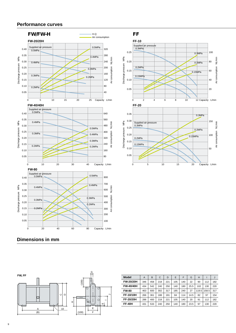#### **Performance curves**



#### **Dimensions in mm**



| <b>Model</b>  | A   | B   | $\mathcal{C}$ | D   | E   | F   | G    | H     |       | J   |
|---------------|-----|-----|---------------|-----|-----|-----|------|-------|-------|-----|
| FW-20/20H     | 346 | 458 | 218           | 221 | 105 | 140 | 22   | 90    | 112   | 182 |
| FW-40/40H     | 434 | 542 | 240           | 250 | 140 | 180 | 25.5 | 102   | 130   | 220 |
| <b>FW-80</b>  | 463 | 600 | 302           | 317 | 185 | 240 | 27   | 119.5 | 158.5 | 317 |
| FF-10/10H     | 266 | 361 | 188           | 191 | 84  | 114 | 14.5 | 82    | 97    | 154 |
| FF-20/20H     | 288 | 400 | 218           | 221 | 105 | 140 | 20   | 91    | 112   | 182 |
| <b>FF-40H</b> | 431 | 533 | 240           | 250 | 140 | 180 | 23.5 | 97    | 130   | 220 |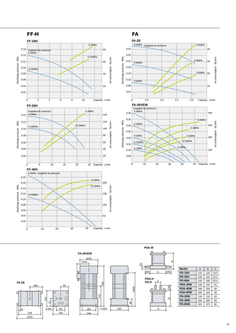







| Model         | Α   | B   | C    |
|---------------|-----|-----|------|
| <b>PD-15H</b> | 110 | 110 | 19.5 |
| <b>PD-30H</b> | 116 | 124 | 22.5 |
| PD-60H        | 142 | 186 | 25.5 |
| PDA-20W       | 148 | 215 | 33   |
| PDA-40W       | 188 | 255 | 36   |
| PDA-80W       | 208 | 323 | 38   |
| <b>PD-20W</b> | 144 | 133 | 50   |
| <b>PD-40W</b> | 160 | 205 | 60   |
| <b>PD-80W</b> | 204 | 273 | 80   |
|               |     |     |      |